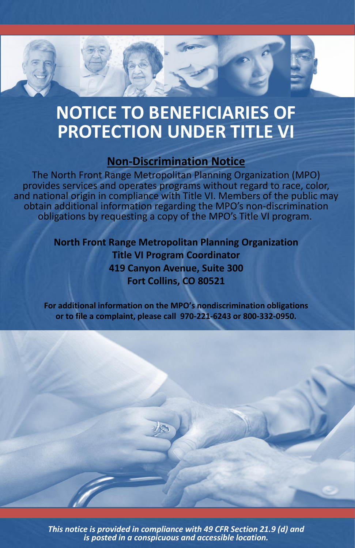

## **NOTICE TO BENEFICIARIES OF PROTECTION UNDER TITLE VI**

## **Non-Discrimination Notice**

The North Front Range Metropolitan Planning Organization (MPO) provides services and operates programs without regard to race, color, and national origin in compliance with Title VI. Members of the public may obtain additional information regarding the MPO's non-discrimination obligations by requesting a copy of the MPO's Title VI program.

> **North Front Range Metropolitan Planning Organization Title VI Program Coordinator 419 Canyon Avenue, Suite 300 Fort Collins, CO 80521**

**For additional information on the MPO's nondiscrimination obligations or to file a complaint, please call 970-221-6243 or 800-332-0950.**



*This notice is provided in compliance with 49 CFR Section 21.9 (d) and is posted in a conspicuous and accessible location.*